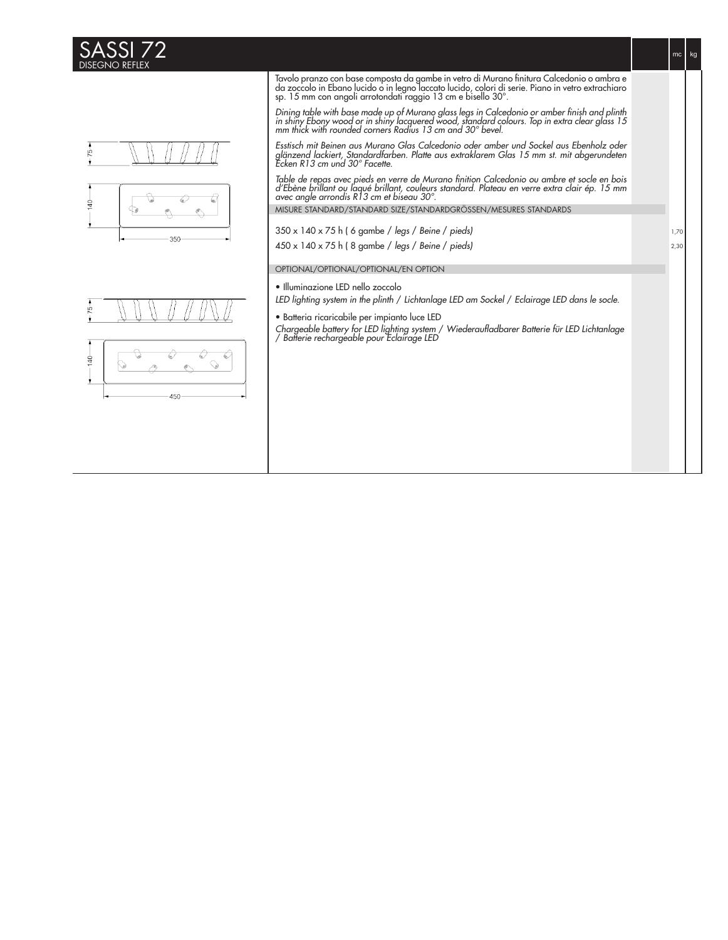



 $mc$  kg